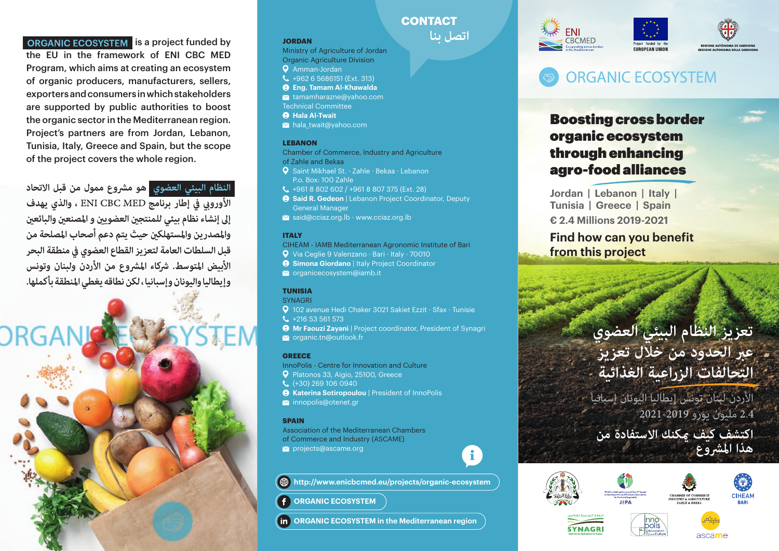**ORGANIC ECOSYSTEM** is a project funded by the EU in the framework of ENI CBC MED Program, which aims at creating an ecosystem of organic producers, manufacturers, sellers, exporters and consumers in which stakeholders are supported by public authorities to boost the organic sector in the Mediterranean region. Project's partners are from Jordan, Lebanon, Tunisia, Italy, Greece and Spain, but the scope of the project covers the whole region.

**النظام البيئي العضوي هو مرشوع ممول من قبل االتحاد األورويب يف إطار برنامج ، والذي يهدف إىل إنشاء نظام بيئي للمنتجني العضويني و املصنعني والبائعني واملصدرين واملستهلكني حيث يتم دعم أصحاب املصلحة من قبل السلطات العامة لتعزيز القطاع العضوي يف منطقة البحر األبيض املتوسط. رشكاء املرشوع من األردن ولبنان وتونس وإيطاليا واليونان وإسبانيا ، لكن نطاقه يغطي املنطقة بأكملها.**



### **JORDAN**

- Ministry of Agriculture of Jordan Organic Agriculture Division **Q** Amman-Jordan +962 6 5686151 (Ext. 313) **Eng. Tamam Al-Khawalda**
- tamamharazne@yahoo.com
- Technical Committee
- **A** Hala Al-Twait
- $\blacktriangleright$  hala twait@yahoo.com

## **LEBANON**

- Chamber of Commerce, Industry and Agriculture
- of Zahle and Bekaa
- Saint Mikhael St. · Zahle · Bekaa · Lebanon P.o. Box: 100 Zahle
- +961 8 802 602 / +961 8 807 375 (Ext. 28)
- **9 Said R. Gedeon** | Lebanon Project Coordinator, Deputy General Manager
- $\blacktriangleright$  said@cciaz.org.lb · www.cciaz.org.lb

## **ITALY**

- CIHEAM IAMB Mediterranean Agronomic Institute of Bari
- Via Ceglie 9 Valenzano · Bari · Italy · 70010
- **9 Simona Giordano** | Italy Project Coordinator
- $\blacksquare$  organicecosystem@iamb.it

# **TUNISIA**

## **SYNAGRI**

- 102 avenue Hedi Chaker 3021 Sakiet Ezzit · Sfax · Tunisie
- $L + 21653561573$
- $\Theta$  **Mr Faouzi Zayani** | Project coordinator, President of Synagri
- organic.tn@outlook.fr

# **GREECE**

- InnoPolis Centre for Innovation and Culture
- Platonos 33, Aigio, 25100, Greece
- (+30) 269 106 0940
- **A** Katerina Sotiropoulou | President of InnoPolis
- innopolis@otenet.gr

# **SPAIN**

Association of the Mediterranean Chambers of Commerce and Industry (ASCAME)  $⊠$  projects@ascame.org

**http://www.enicbcmed.eu/projects/organic-ecosystem**

**ORGANIC ECOSYSTEM**

**ORGANIC ECOSYSTEM in the Mediterranean region**







Boosting cross border organic ecosystem through enhancing agro-food alliances

**Jordan | Lebanon | Italy | Tunisia | Greece | Spain**

**€ 2.4 Millions 2019-2021**

**Find how can you benefit from this project**

# **تعزيز النظام البيئي العضوي عرب الحدود من خالل تعزيز التحالفات الزراعية الغذائية**

 مليون يورو األردن لبنان تونس إيطاليا اليونان إسبانيا

**اكتشف كيف ميكنك االستفادة من هذا املرشوع**





i.

**CONTACT**